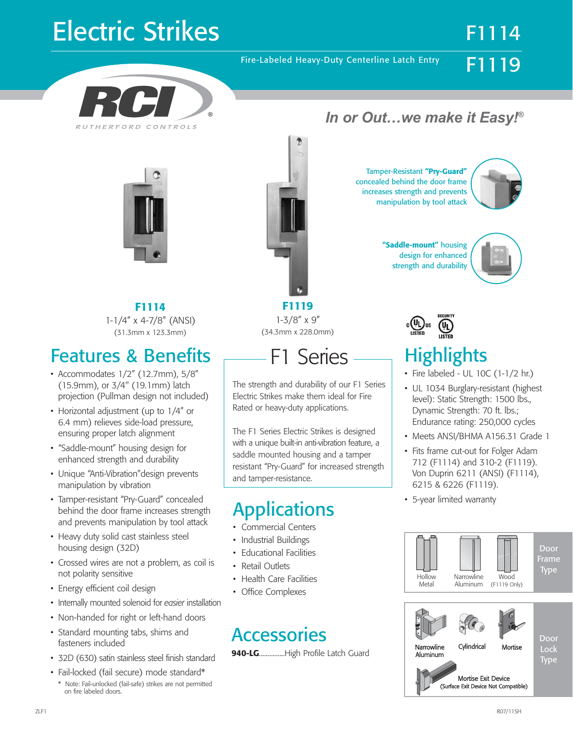## Electric Strikes F1114

Fire-Labeled Heavy-Duty Centerline Latch Entry





**F1114** 1-1/4" x 4-7/8" (ANSI) (31.3mm x 123.3mm)

## Features & Benefits

- Accommodates 1/2" (12.7mm), 5/8" (15.9mm), or 3/4" (19.1mm) latch projection (Pullman design not included)
- Horizontal adjustment (up to 1/4" or 6.4 mm) relieves side-load pressure, ensuring proper latch alignment
- "Saddle-mount" housing design for enhanced strength and durability
- Unique "Anti-Vibration"design prevents manipulation by vibration
- Tamper-resistant "Pry-Guard" concealed behind the door frame increases strength and prevents manipulation by tool attack
- Heavy duty solid cast stainless steel housing design (32D)
- Crossed wires are not a problem, as coil is not polarity sensitive
- Energy efficient coil design
- Internally mounted solenoid for *easier* installation
- Non-handed for right or left-hand doors
- Standard mounting tabs, shims and fasteners included
- 32D (630) satin stainless steel finish standard
- Fail-locked (fail secure) mode standard\* \* Note: Fail-unlocked (fail-safe) strikes are not permitted on fire labeled doors.



**F1119** 1-3/8" x 9" (34.3mm x 228.0mm)



The strength and durability of our F1 Series Electric Strikes make them ideal for Fire Rated or heavy-duty applications.

The F1 Series Electric Strikes is designed with a unique built-in anti-vibration feature, a saddle mounted housing and a tamper resistant "Pry-Guard" for increased strength and tamper-resistance.

## Applications

- Commercial Centers
- Industrial Buildings
- Educational Facilities
- Retail Outlets
- Health Care Facilities
- Office Complexes

### **Accessories**

**940-LG**...............High Profile Latch Guard

#### *In or Out…we make it Easy!®*

Tamper-Resistant **"Pry-Guard"** concealed behind the door frame increases strength and prevents manipulation by tool attack



F1119

**"Saddle-mount"** housing design for enhanced strength and durability



## **Highlights**

- Fire labeled UL 10C (1-1/2 hr.)
- UL 1034 Burglary-resistant (highest level): Static Strength: 1500 lbs., Dynamic Strength: 70 ft. lbs.; Endurance rating: 250,000 cycles
- Meets ANSI/BHMA A156.31 Grade 1
- Fits frame cut-out for Folger Adam 712 (F1114) and 310-2 (F1119). Von Duprin 6211 (ANSI) (F1114), 6215 & 6226 (F1119).
- 5-year limited warranty



Mortise Exit Device (Surface Exit Device Not Compatible)